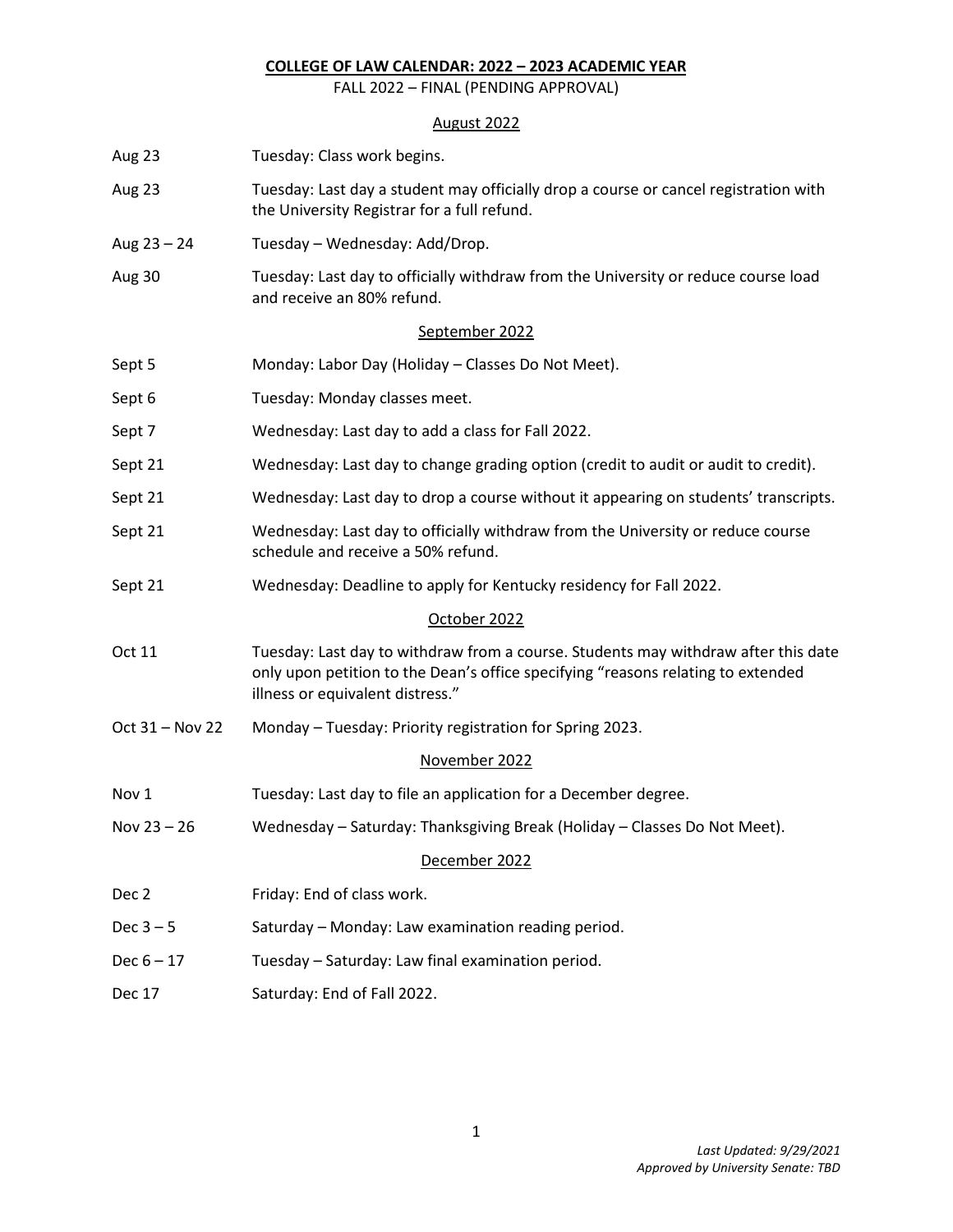## **COLLEGE OF LAW CALENDAR: 2022 – 2023 ACADEMIC YEAR**

FALL 2022 – FINAL (PENDING APPROVAL)

# August 2022

| Aug 23          | Tuesday: Class work begins.                                                                                                                                                                                |
|-----------------|------------------------------------------------------------------------------------------------------------------------------------------------------------------------------------------------------------|
| Aug 23          | Tuesday: Last day a student may officially drop a course or cancel registration with<br>the University Registrar for a full refund.                                                                        |
| Aug $23 - 24$   | Tuesday - Wednesday: Add/Drop.                                                                                                                                                                             |
| Aug 30          | Tuesday: Last day to officially withdraw from the University or reduce course load<br>and receive an 80% refund.                                                                                           |
|                 | September 2022                                                                                                                                                                                             |
| Sept 5          | Monday: Labor Day (Holiday - Classes Do Not Meet).                                                                                                                                                         |
| Sept 6          | Tuesday: Monday classes meet.                                                                                                                                                                              |
| Sept 7          | Wednesday: Last day to add a class for Fall 2022.                                                                                                                                                          |
| Sept 21         | Wednesday: Last day to change grading option (credit to audit or audit to credit).                                                                                                                         |
| Sept 21         | Wednesday: Last day to drop a course without it appearing on students' transcripts.                                                                                                                        |
| Sept 21         | Wednesday: Last day to officially withdraw from the University or reduce course<br>schedule and receive a 50% refund.                                                                                      |
| Sept 21         | Wednesday: Deadline to apply for Kentucky residency for Fall 2022.                                                                                                                                         |
|                 | October 2022                                                                                                                                                                                               |
| Oct 11          | Tuesday: Last day to withdraw from a course. Students may withdraw after this date<br>only upon petition to the Dean's office specifying "reasons relating to extended<br>illness or equivalent distress." |
| Oct 31 - Nov 22 | Monday - Tuesday: Priority registration for Spring 2023.                                                                                                                                                   |
|                 | November 2022                                                                                                                                                                                              |
| Nov 1           | Tuesday: Last day to file an application for a December degree.                                                                                                                                            |
| Nov $23 - 26$   | Wednesday - Saturday: Thanksgiving Break (Holiday - Classes Do Not Meet).                                                                                                                                  |
|                 | December 2022                                                                                                                                                                                              |
| Dec 2           | Friday: End of class work.                                                                                                                                                                                 |
| Dec $3-5$       | Saturday - Monday: Law examination reading period.                                                                                                                                                         |
| $Dec 6 - 17$    | Tuesday - Saturday: Law final examination period.                                                                                                                                                          |
| <b>Dec 17</b>   | Saturday: End of Fall 2022.                                                                                                                                                                                |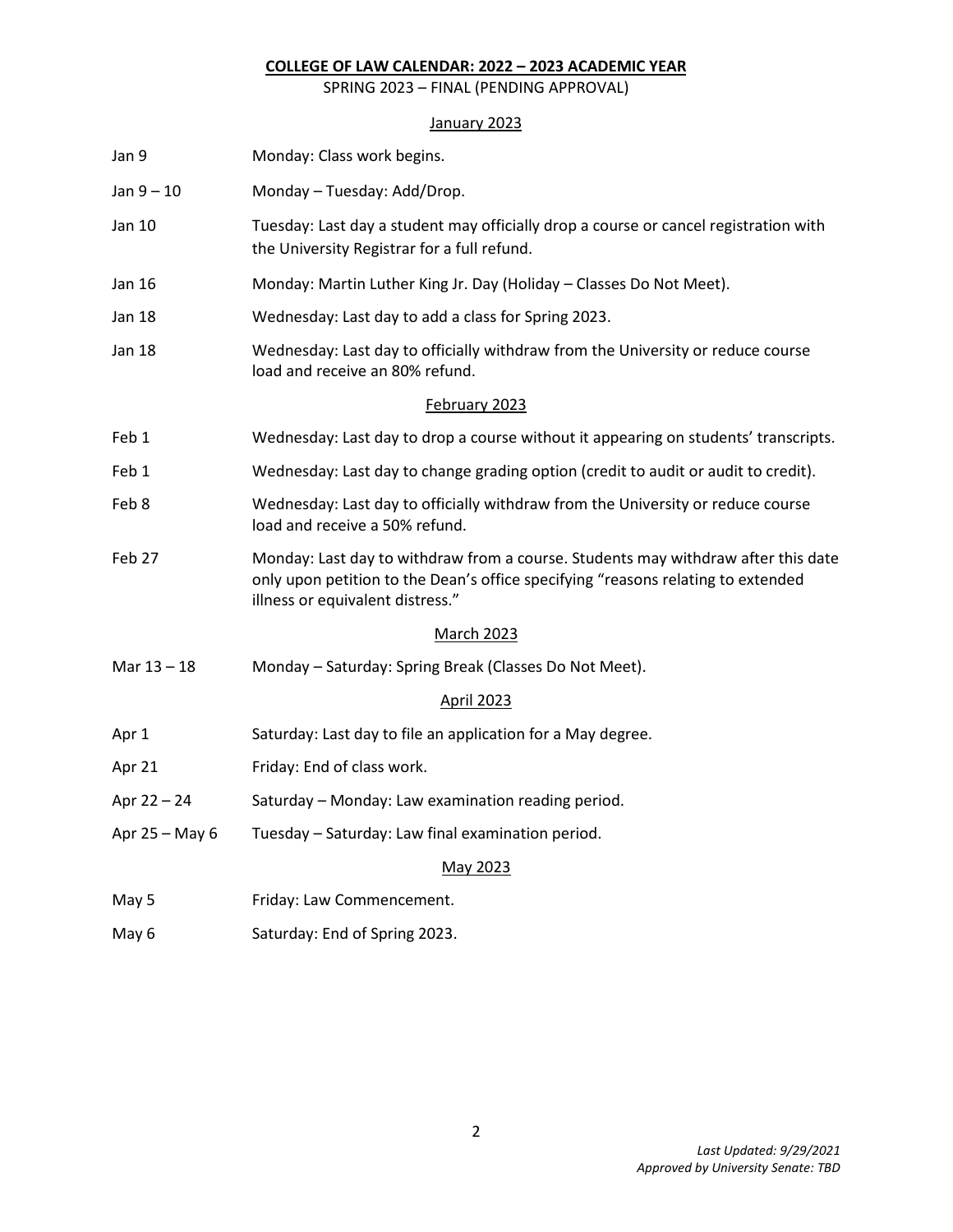## **COLLEGE OF LAW CALENDAR: 2022 – 2023 ACADEMIC YEAR**

SPRING 2023 – FINAL (PENDING APPROVAL)

### January 2023

| Jan 9             | Monday: Class work begins.                                                                                                                                                                                |  |
|-------------------|-----------------------------------------------------------------------------------------------------------------------------------------------------------------------------------------------------------|--|
| $Jan 9 - 10$      | Monday - Tuesday: Add/Drop.                                                                                                                                                                               |  |
| Jan 10            | Tuesday: Last day a student may officially drop a course or cancel registration with<br>the University Registrar for a full refund.                                                                       |  |
| Jan 16            | Monday: Martin Luther King Jr. Day (Holiday - Classes Do Not Meet).                                                                                                                                       |  |
| <b>Jan 18</b>     | Wednesday: Last day to add a class for Spring 2023.                                                                                                                                                       |  |
| Jan 18            | Wednesday: Last day to officially withdraw from the University or reduce course<br>load and receive an 80% refund.                                                                                        |  |
| February 2023     |                                                                                                                                                                                                           |  |
| Feb 1             | Wednesday: Last day to drop a course without it appearing on students' transcripts.                                                                                                                       |  |
| Feb 1             | Wednesday: Last day to change grading option (credit to audit or audit to credit).                                                                                                                        |  |
| Feb 8             | Wednesday: Last day to officially withdraw from the University or reduce course<br>load and receive a 50% refund.                                                                                         |  |
| Feb 27            | Monday: Last day to withdraw from a course. Students may withdraw after this date<br>only upon petition to the Dean's office specifying "reasons relating to extended<br>illness or equivalent distress." |  |
| <b>March 2023</b> |                                                                                                                                                                                                           |  |
| Mar 13 - 18       | Monday - Saturday: Spring Break (Classes Do Not Meet).                                                                                                                                                    |  |
| <b>April 2023</b> |                                                                                                                                                                                                           |  |
| Apr 1             | Saturday: Last day to file an application for a May degree.                                                                                                                                               |  |
| Apr 21            | Friday: End of class work.                                                                                                                                                                                |  |
| Apr $22 - 24$     | Saturday - Monday: Law examination reading period.                                                                                                                                                        |  |
| Apr 25 - May 6    | Tuesday - Saturday: Law final examination period.                                                                                                                                                         |  |
| May 2023          |                                                                                                                                                                                                           |  |
| May 5             | Friday: Law Commencement.                                                                                                                                                                                 |  |

May 6 Saturday: End of Spring 2023.